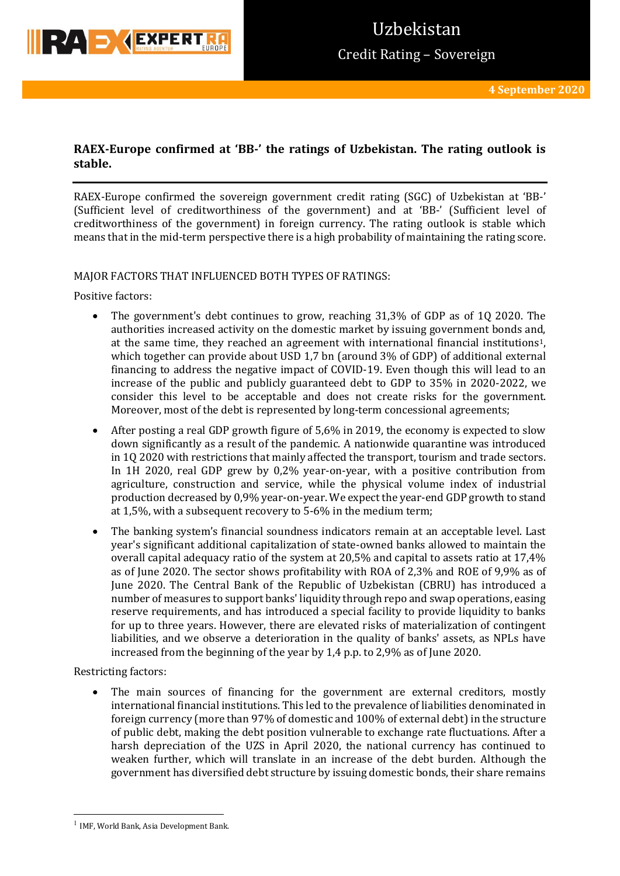

## **RAEX-Europe confirmed at 'BB-' the ratings of Uzbekistan. The rating outlook is stable.**

RAEX-Europe confirmed the sovereign government credit rating (SGC) of Uzbekistan at 'BB-' (Sufficient level of creditworthiness of the government) and at 'BB-' (Sufficient level of creditworthiness of the government) in foreign currency. The rating outlook is stable which means that in the mid-term perspective there is a high probability of maintaining the rating score.

### MAJOR FACTORS THAT INFLUENCED BOTH TYPES OF RATINGS:

Positive factors:

- The government's debt continues to grow, reaching 31,3% of GDP as of 1Q 2020. The authorities increased activity on the domestic market by issuing government bonds and, at the same time, they reached an agreement with international financial institutions1, which together can provide about USD 1,7 bn (around 3% of GDP) of additional external financing to address the negative impact of COVID-19. Even though this will lead to an increase of the public and publicly guaranteed debt to GDP to 35% in 2020-2022, we consider this level to be acceptable and does not create risks for the government. Moreover, most of the debt is represented by long-term concessional agreements;
- After posting a real GDP growth figure of 5,6% in 2019, the economy is expected to slow down significantly as a result of the pandemic. A nationwide quarantine was introduced in 1Q 2020 with restrictions that mainly affected the transport, tourism and trade sectors. In 1H 2020, real GDP grew by 0,2% year-on-year, with a positive contribution from agriculture, construction and service, while the physical volume index of industrial production decreased by 0,9% year-on-year. We expect the year-end GDP growth to stand at 1,5%, with a subsequent recovery to 5-6% in the medium term;
- The banking system's financial soundness indicators remain at an acceptable level. Last year's significant additional capitalization of state-owned banks allowed to maintain the overall capital adequacy ratio of the system at 20,5% and capital to assets ratio at 17,4% as of June 2020. The sector shows profitability with ROA of 2,3% and ROE of 9,9% as of June 2020. The Central Bank of the Republic of Uzbekistan (CBRU) has introduced a number of measures to support banks' liquidity through repo and swap operations, easing reserve requirements, and has introduced a special facility to provide liquidity to banks for up to three years. However, there are elevated risks of materialization of contingent liabilities, and we observe a deterioration in the quality of banks' assets, as NPLs have increased from the beginning of the year by 1,4 p.p. to 2,9% as of June 2020.

Restricting factors:

 $\overline{a}$ 

 The main sources of financing for the government are external creditors, mostly international financial institutions. This led to the prevalence of liabilities denominated in foreign currency (more than 97% of domestic and 100% of external debt) in the structure of public debt, making the debt position vulnerable to exchange rate fluctuations. After a harsh depreciation of the UZS in April 2020, the national currency has continued to weaken further, which will translate in an increase of the debt burden. Although the government has diversified debt structure by issuing domestic bonds, their share remains

<sup>1</sup> IMF, World Bank, Asia Development Bank.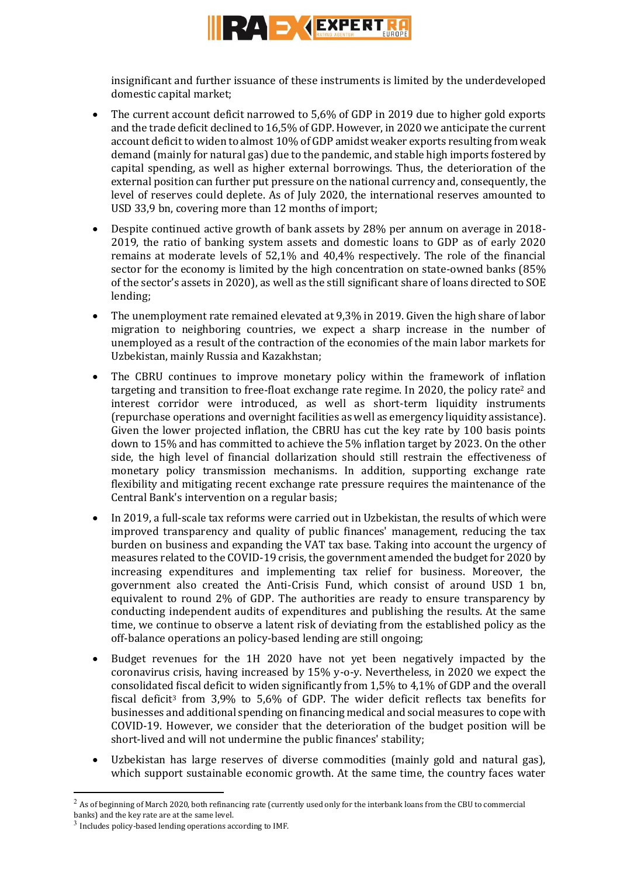

insignificant and further issuance of these instruments is limited by the underdeveloped domestic capital market;

- The current account deficit narrowed to 5,6% of GDP in 2019 due to higher gold exports and the trade deficit declined to 16,5% of GDP. However, in 2020 we anticipate the current account deficit to widen to almost 10% of GDP amidst weaker exports resulting from weak demand (mainly for natural gas) due to the pandemic, and stable high imports fostered by capital spending, as well as higher external borrowings. Thus, the deterioration of the external position can further put pressure on the national currency and, consequently, the level of reserves could deplete. As of July 2020, the international reserves amounted to USD 33,9 bn, covering more than 12 months of import;
- Despite continued active growth of bank assets by 28% per annum on average in 2018- 2019, the ratio of banking system assets and domestic loans to GDP as of early 2020 remains at moderate levels of 52,1% and 40,4% respectively. The role of the financial sector for the economy is limited by the high concentration on state-owned banks (85% of the sector's assets in 2020), as well as the still significant share of loans directed to SOE lending;
- The unemployment rate remained elevated at 9,3% in 2019. Given the high share of labor migration to neighboring countries, we expect a sharp increase in the number of unemployed as a result of the contraction of the economies of the main labor markets for Uzbekistan, mainly Russia and Kazakhstan;
- The CBRU continues to improve monetary policy within the framework of inflation targeting and transition to free-float exchange rate regime. In 2020, the policy rate<sup>2</sup> and interest corridor were introduced, as well as short-term liquidity instruments (repurchase operations and overnight facilities as well as emergency liquidity assistance). Given the lower projected inflation, the CBRU has cut the key rate by 100 basis points down to 15% and has committed to achieve the 5% inflation target by 2023. On the other side, the high level of financial dollarization should still restrain the effectiveness of monetary policy transmission mechanisms. In addition, supporting exchange rate flexibility and mitigating recent exchange rate pressure requires the maintenance of the Central Bank's intervention on a regular basis;
- In 2019, a full-scale tax reforms were carried out in Uzbekistan, the results of which were improved transparency and quality of public finances' management, reducing the tax burden on business and expanding the VAT tax base. Taking into account the urgency of measures related to the COVID-19 crisis, the government amended the budget for 2020 by increasing expenditures and implementing tax relief for business. Moreover, the government also created the Anti-Crisis Fund, which consist of around USD 1 bn, equivalent to round 2% of GDP. The authorities are ready to ensure transparency by conducting independent audits of expenditures and publishing the results. At the same time, we continue to observe a latent risk of deviating from the established policy as the off-balance operations an policy-based lending are still ongoing;
- Budget revenues for the 1H 2020 have not yet been negatively impacted by the coronavirus crisis, having increased by 15% y-o-y. Nevertheless, in 2020 we expect the consolidated fiscal deficit to widen significantly from 1,5% to 4,1% of GDP and the overall fiscal deficit<sup>3</sup> from 3,9% to 5,6% of GDP. The wider deficit reflects tax benefits for businesses and additional spending on financing medical and social measures to cope with COVID-19. However, we consider that the deterioration of the budget position will be short-lived and will not undermine the public finances' stability;
- Uzbekistan has large reserves of diverse commodities (mainly gold and natural gas), which support sustainable economic growth. At the same time, the country faces water

**.** 

 $2$  As of beginning of March 2020, both refinancing rate (currently used only for the interbank loans from the CBU to commercial banks) and the key rate are at the same level.

 $3$  Includes policy-based lending operations according to IMF.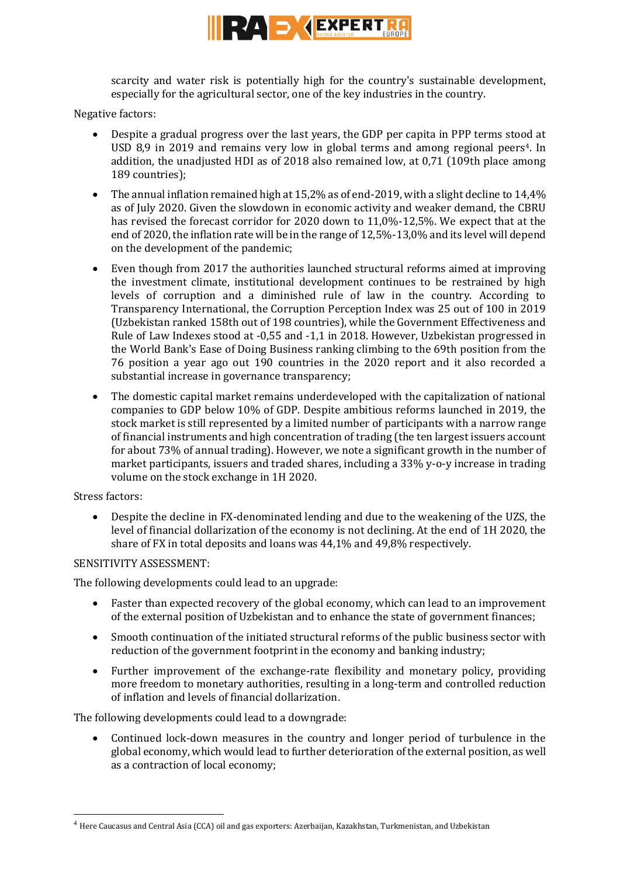

scarcity and water risk is potentially high for the country's sustainable development, especially for the agricultural sector, one of the key industries in the country.

Negative factors:

- Despite a gradual progress over the last years, the GDP per capita in PPP terms stood at USD 8,9 in 2019 and remains very low in global terms and among regional peers4. In addition, the unadjusted HDI as of 2018 also remained low, at 0,71 (109th place among 189 countries);
- The annual inflation remained high at 15,2% as of end-2019, with a slight decline to  $14.4\%$ as of July 2020. Given the slowdown in economic activity and weaker demand, the CBRU has revised the forecast corridor for 2020 down to 11,0%-12,5%. We expect that at the end of 2020, the inflation rate will be in the range of 12,5%-13,0% and its level will depend on the development of the pandemic;
- Even though from 2017 the authorities launched structural reforms aimed at improving the investment climate, institutional development continues to be restrained by high levels of corruption and a diminished rule of law in the country. According to Transparency International, the Corruption Perception Index was 25 out of 100 in 2019 (Uzbekistan ranked 158th out of 198 countries), while the Government Effectiveness and Rule of Law Indexes stood at -0,55 and -1,1 in 2018. However, Uzbekistan progressed in the World Bank's Ease of Doing Business ranking climbing to the 69th position from the 76 position a year ago out 190 countries in the 2020 report and it also recorded a substantial increase in governance transparency;
- The domestic capital market remains underdeveloped with the capitalization of national companies to GDP below 10% of GDP. Despite ambitious reforms launched in 2019, the stock market is still represented by a limited number of participants with a narrow range of financial instruments and high concentration of trading (the ten largest issuers account for about 73% of annual trading). However, we note a significant growth in the number of market participants, issuers and traded shares, including a 33% y-o-y increase in trading volume on the stock exchange in 1H 2020.

### Stress factors:

 $\overline{a}$ 

 Despite the decline in FX-denominated lending and due to the weakening of the UZS, the level of financial dollarization of the economy is not declining. At the end of 1H 2020, the share of FX in total deposits and loans was 44,1% and 49,8% respectively.

### SENSITIVITY ASSESSMENT:

The following developments could lead to an upgrade:

- Faster than expected recovery of the global economy, which can lead to an improvement of the external position of Uzbekistan and to enhance the state of government finances;
- Smooth continuation of the initiated structural reforms of the public business sector with reduction of the government footprint in the economy and banking industry;
- Further improvement of the exchange-rate flexibility and monetary policy, providing more freedom to monetary authorities, resulting in a long-term and controlled reduction of inflation and levels of financial dollarization.

The following developments could lead to a downgrade:

 Continued lock-down measures in the country and longer period of turbulence in the global economy, which would lead to further deterioration of the external position, as well as a contraction of local economy;

<sup>4</sup> Here Caucasus and Central Asia (CCA) oil and gas exporters: Azerbaijan, Kazakhstan, Turkmenistan, and Uzbekistan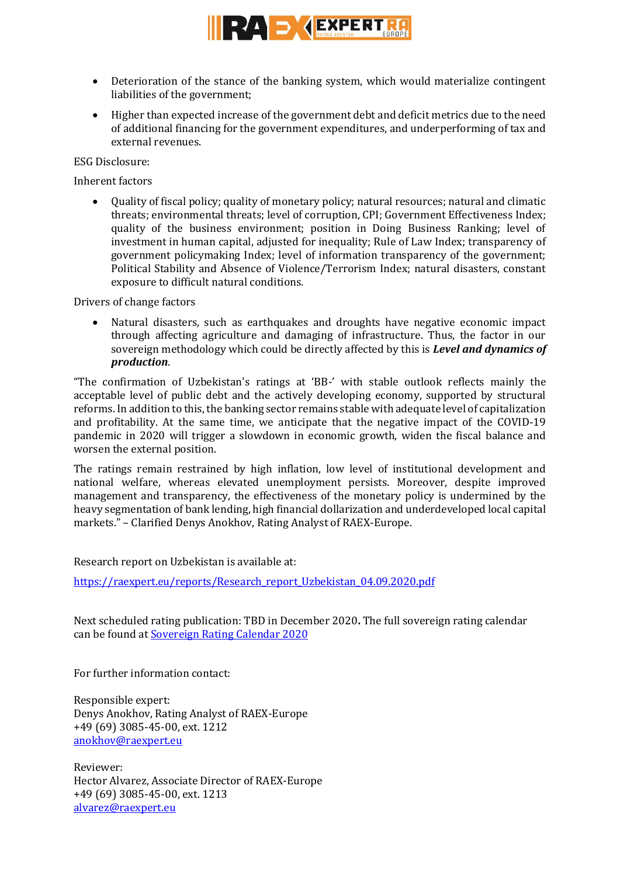

- Deterioration of the stance of the banking system, which would materialize contingent liabilities of the government;
- Higher than expected increase of the government debt and deficit metrics due to the need of additional financing for the government expenditures, and underperforming of tax and external revenues.

ESG Disclosure:

Inherent factors

 Quality of fiscal policy; quality of monetary policy; natural resources; natural and climatic threats; environmental threats; level of corruption, CPI; Government Effectiveness Index; quality of the business environment; position in Doing Business Ranking; level of investment in human capital, adjusted for inequality; Rule of Law Index; transparency of government policymaking Index; level of information transparency of the government; Political Stability and Absence of Violence/Terrorism Index; natural disasters, constant exposure to difficult natural conditions.

Drivers of change factors

 Natural disasters, such as earthquakes and droughts have negative economic impact through affecting agriculture and damaging of infrastructure. Thus, the factor in our sovereign methodology which could be directly affected by this is *Level and dynamics of production*.

"The confirmation of Uzbekistan's ratings at 'BB-' with stable outlook reflects mainly the acceptable level of public debt and the actively developing economy, supported by structural reforms. In addition to this, the banking sector remains stable with adequate level of capitalization and profitability. At the same time, we anticipate that the negative impact of the COVID-19 pandemic in 2020 will trigger a slowdown in economic growth, widen the fiscal balance and worsen the external position.

The ratings remain restrained by high inflation, low level of institutional development and national welfare, whereas elevated unemployment persists. Moreover, despite improved management and transparency, the effectiveness of the monetary policy is undermined by the heavy segmentation of bank lending, high financial dollarization and underdeveloped local capital markets." – Clarified Denys Anokhov, Rating Analyst of RAEX-Europe.

Research report on Uzbekistan is available at:

[https://raexpert.eu/reports/Research\\_report\\_Uzbekistan\\_04.09.2020.pdf](https://raexpert.eu/reports/Research_report_Uzbekistan_04.09.2020.pdf)

Next scheduled rating publication: TBD in December 2020**.** The full sovereign rating calendar can be found at [Sovereign Rating Calendar 2020](https://raexpert.eu/sovereign/#conf-tab-5)

For further information contact:

Responsible expert: Denys Anokhov, Rating Analyst of RAEX-Europe +49 (69) 3085-45-00, ext. 1212 <anokhov@raexpert.eu>

Reviewer: Hector Alvarez, Associate Director of RAEX-Europe +49 (69) 3085-45-00, ext. 1213 <alvarez@raexpert.eu>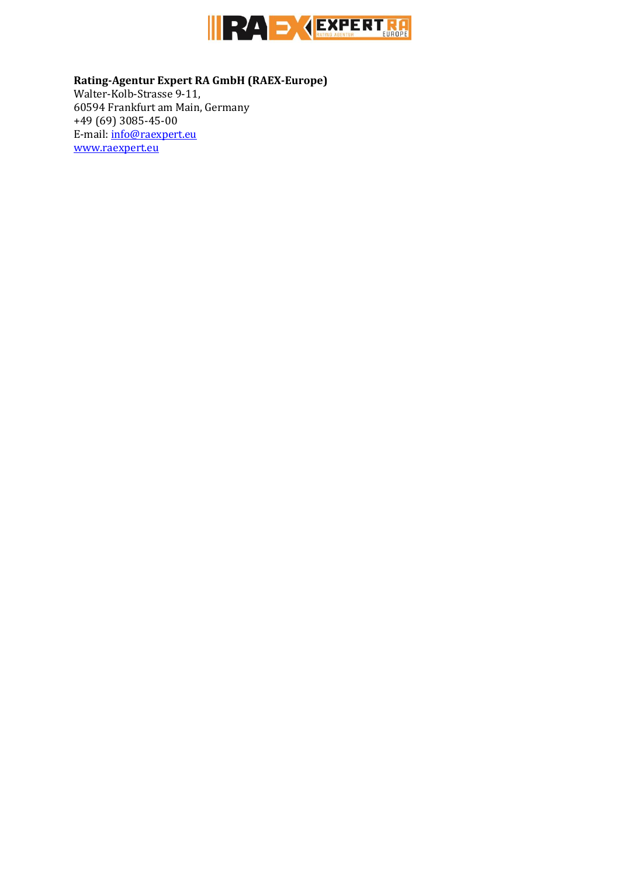

**Rating-Agentur Expert RA GmbH (RAEX-Europe)** Walter-Kolb-Strasse 9-11, 60594 Frankfurt am Main, Germany +49 (69) 3085-45-00 E-mail[: info@raexpert.eu](mailto:info@raexpert.eu) [www.raexpert.eu](http://raexpert.eu/)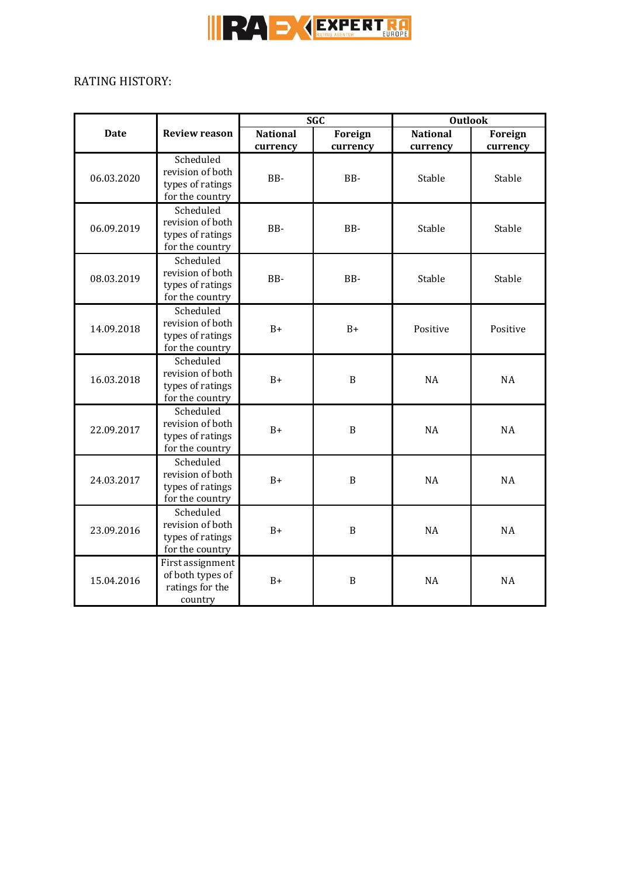

 $\overline{a}$ 

# RATING HISTORY:

|             | <b>Review reason</b>                                                 | <b>SGC</b>                  |                     | <b>Outlook</b>              |                     |
|-------------|----------------------------------------------------------------------|-----------------------------|---------------------|-----------------------------|---------------------|
| <b>Date</b> |                                                                      | <b>National</b><br>currency | Foreign<br>currency | <b>National</b><br>currency | Foreign<br>currency |
| 06.03.2020  | Scheduled<br>revision of both<br>types of ratings<br>for the country | BB-                         | BB-                 | Stable                      | Stable              |
| 06.09.2019  | Scheduled<br>revision of both<br>types of ratings<br>for the country | BB-                         | BB-                 | Stable                      | Stable              |
| 08.03.2019  | Scheduled<br>revision of both<br>types of ratings<br>for the country | BB-                         | BB-                 | Stable                      | Stable              |
| 14.09.2018  | Scheduled<br>revision of both<br>types of ratings<br>for the country | $B+$                        | $B+$                | Positive                    | Positive            |
| 16.03.2018  | Scheduled<br>revision of both<br>types of ratings<br>for the country | $B+$                        | $\mathbf B$         | NA                          | NA                  |
| 22.09.2017  | Scheduled<br>revision of both<br>types of ratings<br>for the country | $B+$                        | B                   | <b>NA</b>                   | <b>NA</b>           |
| 24.03.2017  | Scheduled<br>revision of both<br>types of ratings<br>for the country | $B+$                        | $\mathbf B$         | <b>NA</b>                   | <b>NA</b>           |
| 23.09.2016  | Scheduled<br>revision of both<br>types of ratings<br>for the country | $B+$                        | $\, {\bf B}$        | <b>NA</b>                   | <b>NA</b>           |
| 15.04.2016  | First assignment<br>of both types of<br>ratings for the<br>country   | $B+$                        | $\boldsymbol{B}$    | NA                          | NA                  |